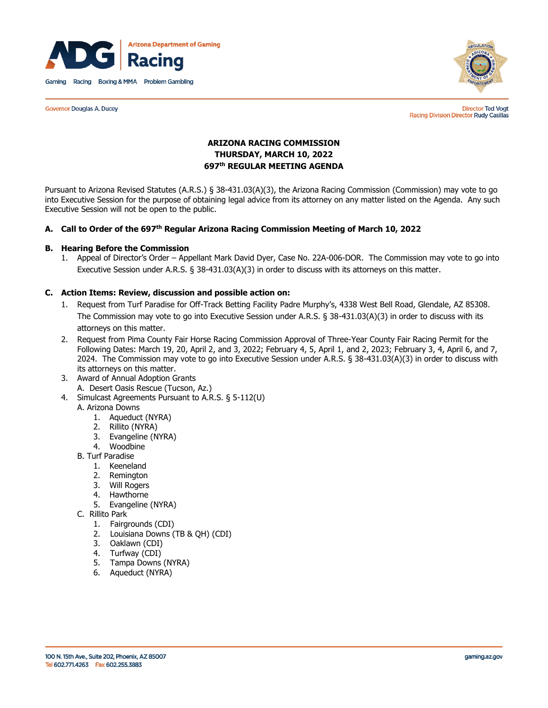

**Governor Douglas A. Ducey** 



**Director Ted Vogt** Racing Division Director Rudy Casillas

# **ARIZONA RACING COMMISSION THURSDAY, MARCH 10, 2022 697th REGULAR MEETING AGENDA**

Pursuant to Arizona Revised Statutes (A.R.S.) § 38-431.03(A)(3), the Arizona Racing Commission (Commission) may vote to go into Executive Session for the purpose of obtaining legal advice from its attorney on any matter listed on the Agenda. Any such Executive Session will not be open to the public.

## **A. Call to Order of the 697 th Regular Arizona Racing Commission Meeting of March 10, 2022**

#### **B. Hearing Before the Commission**

1. Appeal of Director's Order – Appellant Mark David Dyer, Case No. 22A-006-DOR. The Commission may vote to go into Executive Session under A.R.S. § 38-431.03(A)(3) in order to discuss with its attorneys on this matter.

#### **C. Action Items: Review, discussion and possible action on:**

- 1. Request from Turf Paradise for Off-Track Betting Facility Padre Murphy's, 4338 West Bell Road, Glendale, AZ 85308. The Commission may vote to go into Executive Session under A.R.S. § 38-431.03(A)(3) in order to discuss with its attorneys on this matter.
- 2. Request from Pima County Fair Horse Racing Commission Approval of Three-Year County Fair Racing Permit for the Following Dates: March 19, 20, April 2, and 3, 2022; February 4, 5, April 1, and 2, 2023; February 3, 4, April 6, and 7, 2024. The Commission may vote to go into Executive Session under A.R.S. § 38-431.03(A)(3) in order to discuss with its attorneys on this matter.
- 3. Award of Annual Adoption Grants A. Desert Oasis Rescue (Tucson, Az.)
- 4. Simulcast Agreements Pursuant to A.R.S. § 5-112(U)
- A. Arizona Downs
	- 1. Aqueduct (NYRA)
	- 2. Rillito (NYRA)
	- 3. Evangeline (NYRA)
	- 4. Woodbine
	- B. Turf Paradise
		- 1. Keeneland
		- 2. Remington
		- 3. Will Rogers
		- 4. Hawthorne
		- 5. Evangeline (NYRA)

C. Rillito Park

- 1. Fairgrounds (CDI)
- 2. Louisiana Downs (TB & QH) (CDI)
- 3. Oaklawn (CDI)
- 4. Turfway (CDI)
- 5. Tampa Downs (NYRA)
- 6. Aqueduct (NYRA)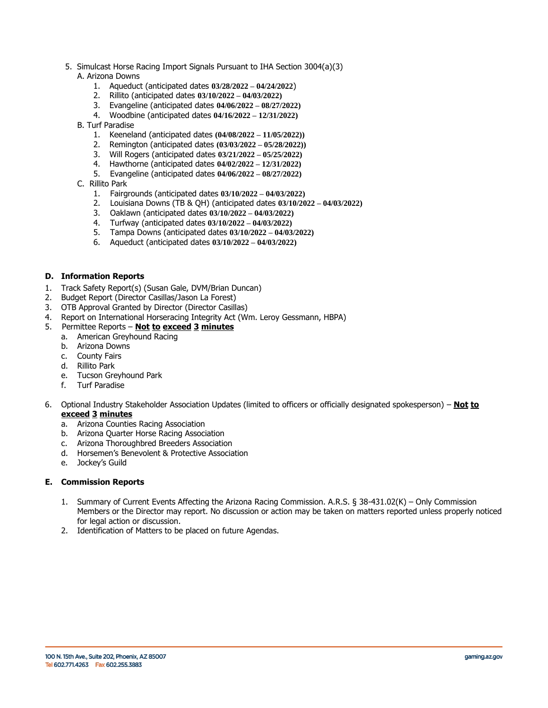- 5. Simulcast Horse Racing Import Signals Pursuant to IHA Section 3004(a)(3) A. Arizona Downs
	- 1. Aqueduct (anticipated dates **03/28/2022 – 04/24/2022**)
	- 2. Rillito (anticipated dates **03/10/2022 – 04/03/2022)**
	- 3. Evangeline (anticipated dates **04/06/2022 – 08/27/2022)**
	- 4. Woodbine (anticipated dates **04/16/2022 – 12/31/2022)**
	- B. Turf Paradise
		- 1. Keeneland (anticipated dates **(04/08/2022 – 11/05/2022))**
		- 2. Remington (anticipated dates **(03/03/2022 – 05/28/2022))**
		- 3. Will Rogers (anticipated dates **03/21/2022 – 05/25/2022)**
		- 4. Hawthorne (anticipated dates **04/02/2022 – 12/31/2022)**
		- 5. Evangeline (anticipated dates **04/06/2022 – 08/27/2022)**
	- C. Rillito Park
		- 1. Fairgrounds (anticipated dates **03/10/2022 – 04/03/2022)**
		- 2. Louisiana Downs (TB & QH) (anticipated dates **03/10/2022 – 04/03/2022)**
		- 3. Oaklawn (anticipated dates **03/10/2022 – 04/03/2022)**
		- 4. Turfway (anticipated dates **03/10/2022 – 04/03/2022)**
		- 5. Tampa Downs (anticipated dates **03/10/2022 – 04/03/2022)**
		- 6. Aqueduct (anticipated dates **03/10/2022 – 04/03/2022)**

## **D. Information Reports**

- 1. Track Safety Report(s) (Susan Gale, DVM/Brian Duncan)
- 2. Budget Report (Director Casillas/Jason La Forest)
- 3. OTB Approval Granted by Director (Director Casillas)
- 4. Report on International Horseracing Integrity Act (Wm. Leroy Gessmann, HBPA)

#### 5. Permittee Reports – **Not to exceed 3 minutes**

- a. American Greyhound Racing
- b. Arizona Downs
- c. County Fairs
- d. Rillito Park
- e. Tucson Greyhound Park
- f. Turf Paradise
- 6. Optional Industry Stakeholder Association Updates (limited to officers or officially designated spokesperson) **Not to exceed 3 minutes**
	- a. Arizona Counties Racing Association
	- b. Arizona Quarter Horse Racing Association
	- c. Arizona Thoroughbred Breeders Association
	- d. Horsemen's Benevolent & Protective Association
	- e. Jockey's Guild

#### **E. Commission Reports**

- 1. Summary of Current Events Affecting the Arizona Racing Commission. A.R.S. § 38-431.02(K) Only Commission Members or the Director may report. No discussion or action may be taken on matters reported unless properly noticed for legal action or discussion.
- 2. Identification of Matters to be placed on future Agendas.